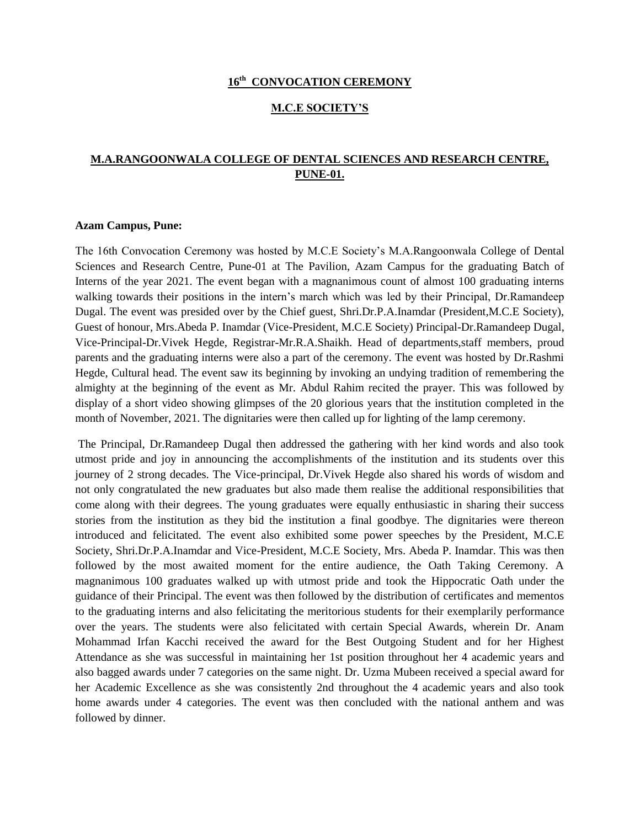## **16th CONVOCATION CEREMONY**

## **M.C.E SOCIETY'S**

## **M.A.RANGOONWALA COLLEGE OF DENTAL SCIENCES AND RESEARCH CENTRE, PUNE-01.**

## **Azam Campus, Pune:**

The 16th Convocation Ceremony was hosted by M.C.E Society's M.A.Rangoonwala College of Dental Sciences and Research Centre, Pune-01 at The Pavilion, Azam Campus for the graduating Batch of Interns of the year 2021. The event began with a magnanimous count of almost 100 graduating interns walking towards their positions in the intern's march which was led by their Principal, Dr.Ramandeep Dugal. The event was presided over by the Chief guest, Shri.Dr.P.A.Inamdar (President,M.C.E Society), Guest of honour, Mrs.Abeda P. Inamdar (Vice-President, M.C.E Society) Principal-Dr.Ramandeep Dugal, Vice-Principal-Dr.Vivek Hegde, Registrar-Mr.R.A.Shaikh. Head of departments,staff members, proud parents and the graduating interns were also a part of the ceremony. The event was hosted by Dr.Rashmi Hegde, Cultural head. The event saw its beginning by invoking an undying tradition of remembering the almighty at the beginning of the event as Mr. Abdul Rahim recited the prayer. This was followed by display of a short video showing glimpses of the 20 glorious years that the institution completed in the month of November, 2021. The dignitaries were then called up for lighting of the lamp ceremony.

The Principal, Dr.Ramandeep Dugal then addressed the gathering with her kind words and also took utmost pride and joy in announcing the accomplishments of the institution and its students over this journey of 2 strong decades. The Vice-principal, Dr.Vivek Hegde also shared his words of wisdom and not only congratulated the new graduates but also made them realise the additional responsibilities that come along with their degrees. The young graduates were equally enthusiastic in sharing their success stories from the institution as they bid the institution a final goodbye. The dignitaries were thereon introduced and felicitated. The event also exhibited some power speeches by the President, M.C.E Society, Shri.Dr.P.A.Inamdar and Vice-President, M.C.E Society, Mrs. Abeda P. Inamdar. This was then followed by the most awaited moment for the entire audience, the Oath Taking Ceremony. A magnanimous 100 graduates walked up with utmost pride and took the Hippocratic Oath under the guidance of their Principal. The event was then followed by the distribution of certificates and mementos to the graduating interns and also felicitating the meritorious students for their exemplarily performance over the years. The students were also felicitated with certain Special Awards, wherein Dr. Anam Mohammad Irfan Kacchi received the award for the Best Outgoing Student and for her Highest Attendance as she was successful in maintaining her 1st position throughout her 4 academic years and also bagged awards under 7 categories on the same night. Dr. Uzma Mubeen received a special award for her Academic Excellence as she was consistently 2nd throughout the 4 academic years and also took home awards under 4 categories. The event was then concluded with the national anthem and was followed by dinner.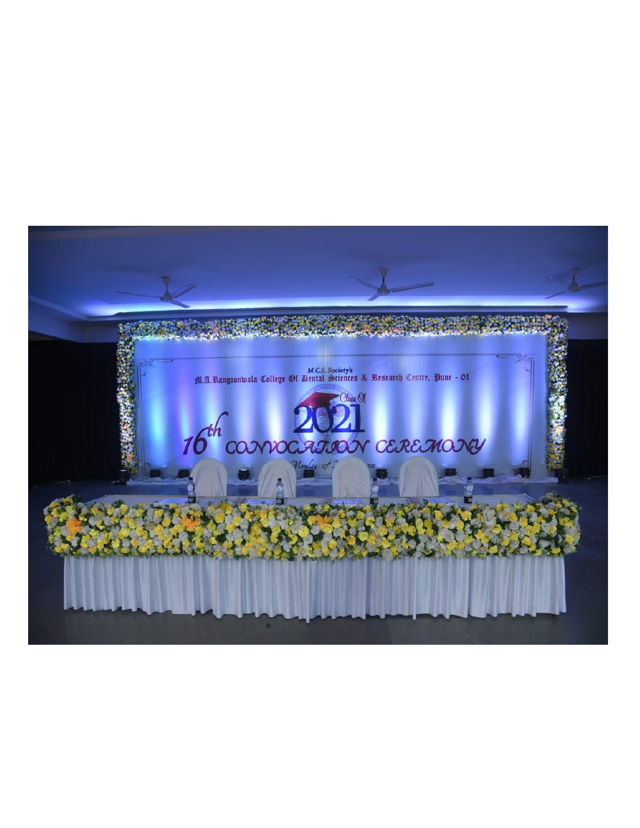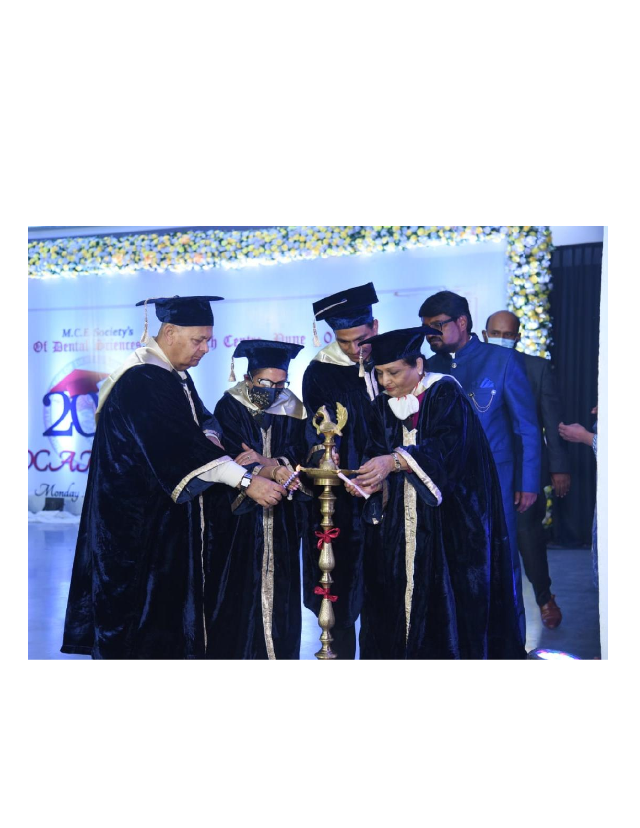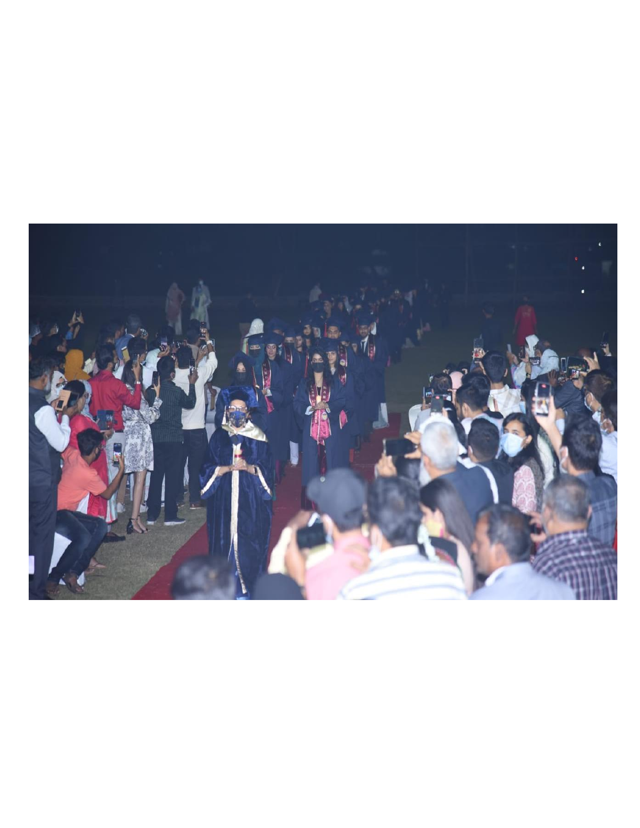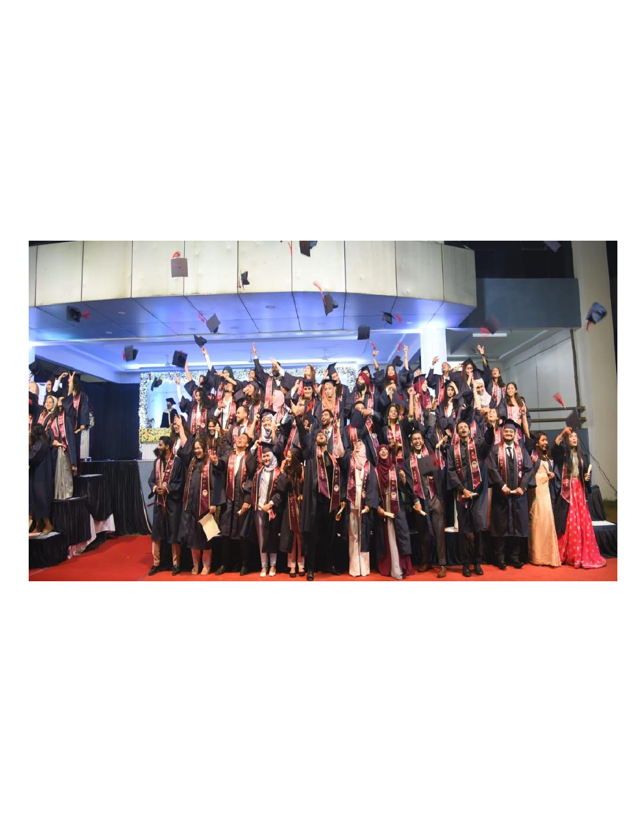